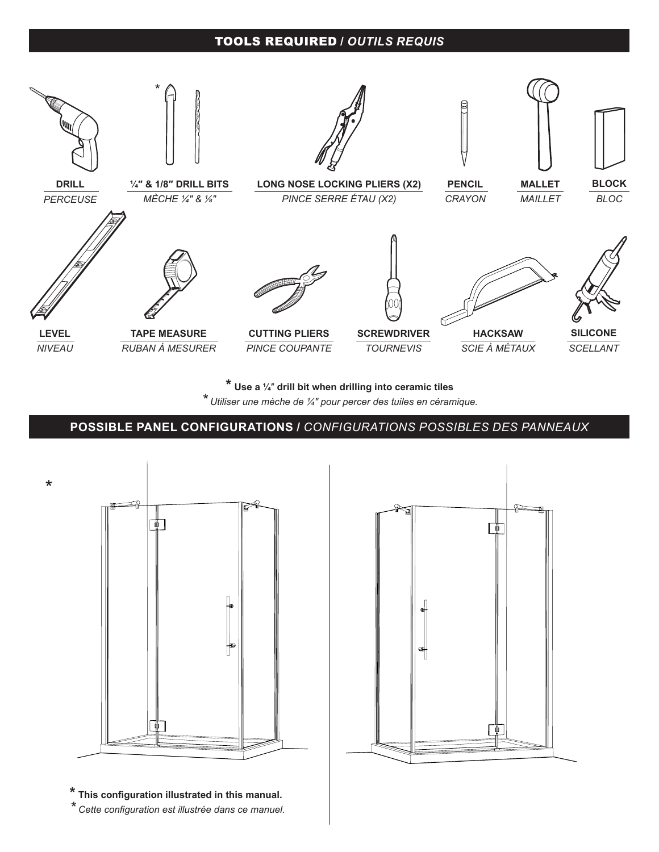## TOOLS REQUIRED **/** *OUTILS REQUIS*



**\* Use a ¼**″ **drill bit when drilling into ceramic tiles**

*\* Utiliser une mèche de ¼″ pour percer des tuiles en céramique.*

**POSSIBLE CONFIGURATIONS /** *CONFIGURATIONS POSSIBLES* **POSSIBLE PANEL CONFIGURATIONS /** *CONFIGURATIONS POSSIBLES DES PANNEAUX*



**\* This configuration illustrated in this manual.** *\* Cette configuration est illustrée dans ce manuel.*

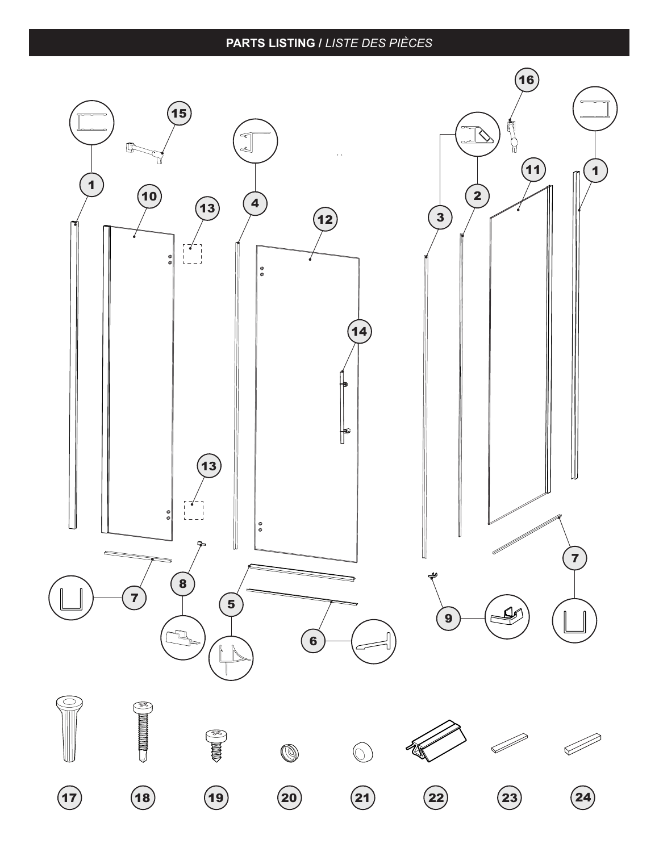## **PARTS LISTING /** *LISTE DES PIÈCES*